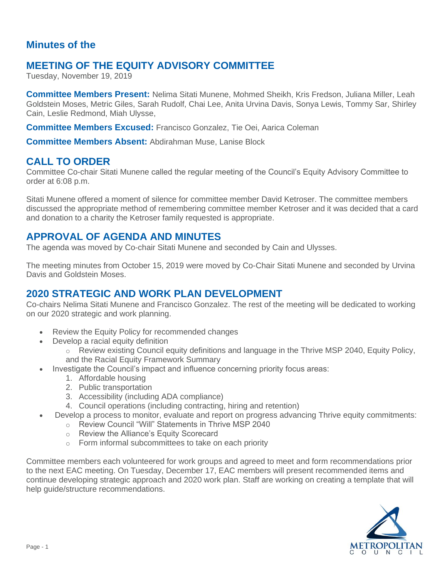# **Minutes of the**

# **MEETING OF THE EQUITY ADVISORY COMMITTEE**

Tuesday, November 19, 2019

**Committee Members Present:** Nelima Sitati Munene, Mohmed Sheikh, Kris Fredson, Juliana Miller, Leah Goldstein Moses, Metric Giles, Sarah Rudolf, Chai Lee, Anita Urvina Davis, Sonya Lewis, Tommy Sar, Shirley Cain, Leslie Redmond, Miah Ulysse,

**Committee Members Excused:** Francisco Gonzalez, Tie Oei, Aarica Coleman

**Committee Members Absent:** Abdirahman Muse, Lanise Block

## **CALL TO ORDER**

Committee Co-chair Sitati Munene called the regular meeting of the Council's Equity Advisory Committee to order at 6:08 p.m.

Sitati Munene offered a moment of silence for committee member David Ketroser. The committee members discussed the appropriate method of remembering committee member Ketroser and it was decided that a card and donation to a charity the Ketroser family requested is appropriate.

### **APPROVAL OF AGENDA AND MINUTES**

The agenda was moved by Co-chair Sitati Munene and seconded by Cain and Ulysses.

The meeting minutes from October 15, 2019 were moved by Co-Chair Sitati Munene and seconded by Urvina Davis and Goldstein Moses.

# **2020 STRATEGIC AND WORK PLAN DEVELOPMENT**

Co-chairs Nelima Sitati Munene and Francisco Gonzalez. The rest of the meeting will be dedicated to working on our 2020 strategic and work planning.

- Review the Equity Policy for recommended changes
- Develop a racial equity definition
	- $\circ$  Review existing Council equity definitions and language in the Thrive MSP 2040, Equity Policy, and the Racial Equity Framework Summary
- Investigate the Council's impact and influence concerning priority focus areas:
	- 1. Affordable housing
	- 2. Public transportation
	- 3. Accessibility (including ADA compliance)
	- 4. Council operations (including contracting, hiring and retention)
- Develop a process to monitor, evaluate and report on progress advancing Thrive equity commitments:
	- o Review Council "Will" Statements in Thrive MSP 2040
	- o Review the Alliance's Equity Scorecard
	- o Form informal subcommittees to take on each priority

Committee members each volunteered for work groups and agreed to meet and form recommendations prior to the next EAC meeting. On Tuesday, December 17, EAC members will present recommended items and continue developing strategic approach and 2020 work plan. Staff are working on creating a template that will help guide/structure recommendations.